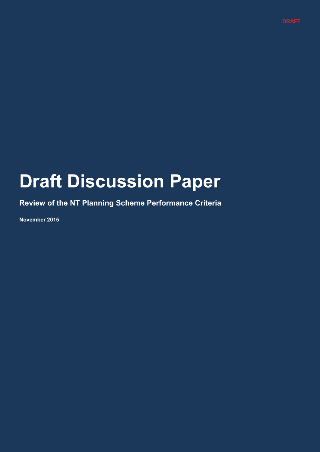## **Draft Discussion Paper**

**Review of the NT Planning Scheme Performance Criteria**

**November 2015**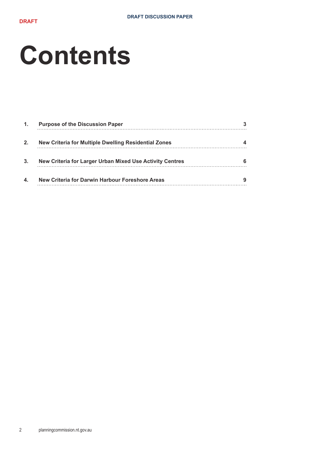# **Contents**

| $\mathbf{1}$ . | <b>Purpose of the Discussion Paper</b>                   |  |
|----------------|----------------------------------------------------------|--|
| 2.             | New Criteria for Multiple Dwelling Residential Zones     |  |
| 3.             | New Criteria for Larger Urban Mixed Use Activity Centres |  |
| 4.             | New Criteria for Darwin Harbour Foreshore Areas          |  |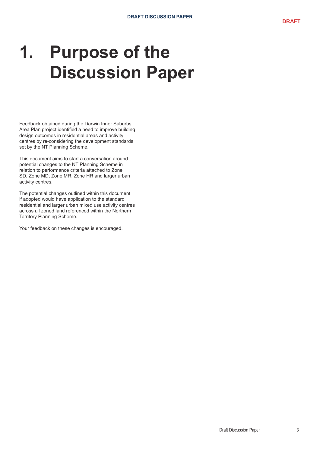# **1. Purpose of the Discussion Paper**

Feedback obtained during the Darwin Inner Suburbs Area Plan project identified a need to improve building design outcomes in residential areas and activity centres by re-considering the development standards set by the NT Planning Scheme.

This document aims to start a conversation around potential changes to the NT Planning Scheme in relation to performance criteria attached to Zone SD, Zone MD, Zone MR, Zone HR and larger urban activity centres.

The potential changes outlined within this document if adopted would have application to the standard residential and larger urban mixed use activity centres across all zoned land referenced within the Northern Territory Planning Scheme.

Your feedback on these changes is encouraged.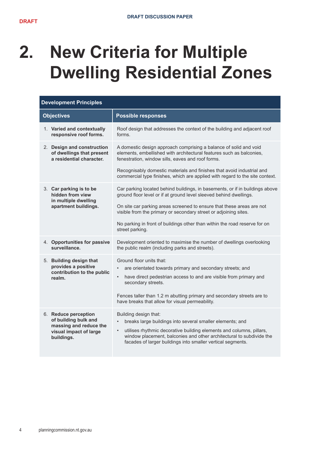# **2. New Criteria for Multiple Dwelling Residential Zones**

| <b>Development Principles</b>                                                                                  |                                                                                                                                                                                                                                                                                                                |  |
|----------------------------------------------------------------------------------------------------------------|----------------------------------------------------------------------------------------------------------------------------------------------------------------------------------------------------------------------------------------------------------------------------------------------------------------|--|
| <b>Objectives</b>                                                                                              | <b>Possible responses</b>                                                                                                                                                                                                                                                                                      |  |
| 1. Varied and contextually<br>responsive roof forms.                                                           | Roof design that addresses the context of the building and adjacent roof<br>forms.                                                                                                                                                                                                                             |  |
| 2. Design and construction<br>of dwellings that present<br>a residential character.                            | A domestic design approach comprising a balance of solid and void<br>elements, embellished with architectural features such as balconies,<br>fenestration, window sills, eaves and roof forms.                                                                                                                 |  |
|                                                                                                                | Recognisably domestic materials and finishes that avoid industrial and<br>commercial type finishes, which are applied with regard to the site context.                                                                                                                                                         |  |
| 3. Car parking is to be<br>hidden from view<br>in multiple dwelling<br>apartment buildings.                    | Car parking located behind buildings, in basements, or if in buildings above<br>ground floor level or if at ground level sleeved behind dwellings.<br>On site car parking areas screened to ensure that these areas are not                                                                                    |  |
|                                                                                                                | visible from the primary or secondary street or adjoining sites.                                                                                                                                                                                                                                               |  |
|                                                                                                                | No parking in front of buildings other than within the road reserve for on<br>street parking.                                                                                                                                                                                                                  |  |
| 4. Opportunities for passive<br>surveillance.                                                                  | Development oriented to maximise the number of dwellings overlooking<br>the public realm (including parks and streets).                                                                                                                                                                                        |  |
| 5. Building design that<br>provides a positive<br>contribution to the public<br>realm.                         | Ground floor units that:<br>are orientated towards primary and secondary streets; and<br>$\bullet$<br>have direct pedestrian access to and are visible from primary and<br>$\bullet$<br>secondary streets.<br>Fences taller than 1.2 m abutting primary and secondary streets are to                           |  |
|                                                                                                                | have breaks that allow for visual permeability.                                                                                                                                                                                                                                                                |  |
| 6. Reduce perception<br>of building bulk and<br>massing and reduce the<br>visual impact of large<br>buildings. | Building design that:<br>breaks large buildings into several smaller elements; and<br>utilises rhythmic decorative building elements and columns, pillars,<br>$\bullet$<br>window placement, balconies and other architectural to subdivide the<br>facades of larger buildings into smaller vertical segments. |  |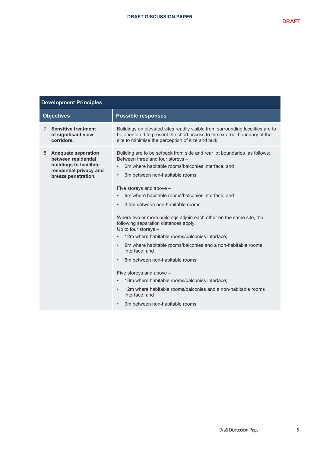| <b>Development Principles</b>                                                                                              |                                                                                                                                                                                                                                                                                                                                                                                                                                                                                                                                                                                                                                                                                                                                                                                                                                                                                                                                                                                 |  |
|----------------------------------------------------------------------------------------------------------------------------|---------------------------------------------------------------------------------------------------------------------------------------------------------------------------------------------------------------------------------------------------------------------------------------------------------------------------------------------------------------------------------------------------------------------------------------------------------------------------------------------------------------------------------------------------------------------------------------------------------------------------------------------------------------------------------------------------------------------------------------------------------------------------------------------------------------------------------------------------------------------------------------------------------------------------------------------------------------------------------|--|
| <b>Objectives</b>                                                                                                          | <b>Possible responses</b>                                                                                                                                                                                                                                                                                                                                                                                                                                                                                                                                                                                                                                                                                                                                                                                                                                                                                                                                                       |  |
| 7. Sensitive treatment<br>of significant view<br>corridors.                                                                | Buildings on elevated sites readily visible from surrounding localities are to<br>be orientated to present the short access to the external boundary of the<br>site to minimise the perception of size and bulk.                                                                                                                                                                                                                                                                                                                                                                                                                                                                                                                                                                                                                                                                                                                                                                |  |
| 8. Adequate separation<br>between residential<br>buildings to facilitate<br>residential privacy and<br>breeze penetration. | Building are to be setback from side and rear lot boundaries as follows:<br>Between three and four storeys -<br>6m where habitable rooms/balconies interface; and<br>$\bullet$<br>3m between non-habitable rooms.<br>$\bullet$<br>Five storeys and above -<br>9m where habitable rooms/balconies interface; and<br>$\bullet$<br>4.5m between non-habitable rooms.<br>$\bullet$<br>Where two or more buildings adjoin each other on the same site, the<br>following separation distances apply:<br>Up to four storeys -<br>12m where habitable rooms/balconies interface:<br>$\bullet$<br>9m where habitable rooms/balconies and a non-habitable rooms<br>$\bullet$<br>interface; and<br>6m between non-habitable rooms.<br>$\bullet$<br>Five storeys and above -<br>18m where habitable rooms/balconies interface;<br>$\bullet$<br>12m where habitable rooms/balconies and a non-habitable rooms<br>$\bullet$<br>interface; and<br>9m between non-habitable rooms.<br>$\bullet$ |  |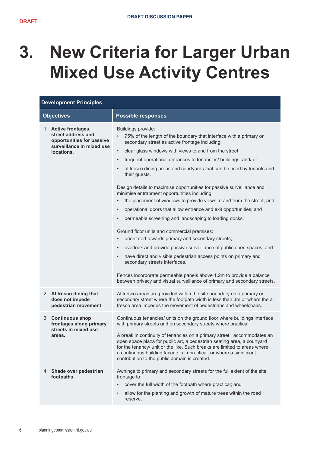## **3. New Criteria for Larger Urban Mixed Use Activity Centres**

| <b>Development Principles</b>                                                                                      |                                                                                                                                                                                                                                                                                                                                                                                                                                                                                                                                                                                                                                                                                                                                                                                                                                                                                                                                                                                                                                                                                                                                                                                                                                                                         |  |
|--------------------------------------------------------------------------------------------------------------------|-------------------------------------------------------------------------------------------------------------------------------------------------------------------------------------------------------------------------------------------------------------------------------------------------------------------------------------------------------------------------------------------------------------------------------------------------------------------------------------------------------------------------------------------------------------------------------------------------------------------------------------------------------------------------------------------------------------------------------------------------------------------------------------------------------------------------------------------------------------------------------------------------------------------------------------------------------------------------------------------------------------------------------------------------------------------------------------------------------------------------------------------------------------------------------------------------------------------------------------------------------------------------|--|
| <b>Objectives</b>                                                                                                  | <b>Possible responses</b>                                                                                                                                                                                                                                                                                                                                                                                                                                                                                                                                                                                                                                                                                                                                                                                                                                                                                                                                                                                                                                                                                                                                                                                                                                               |  |
| 1. Active frontages,<br>street address and<br>opportunities for passive<br>surveillance in mixed use<br>locations. | Buildings provide:<br>75% of the length of the boundary that interface with a primary or<br>$\bullet$<br>secondary street as active frontage including:<br>clear glass windows with views to and from the street;<br>$\bullet$<br>frequent operational entrances to tenancies/ buildings; and/ or<br>$\bullet$<br>al fresco dining areas and courtyards that can be used by tenants and<br>$\bullet$<br>their guests.<br>Design details to maximise opportunities for passive surveillance and<br>minimise entrapment opportunities including:<br>the placement of windows to provide views to and from the street; and<br>$\bullet$<br>operational doors that allow entrance and exit opportunities; and<br>$\bullet$<br>permeable screening and landscaping to loading docks.<br>$\bullet$<br>Ground floor units and commercial premises:<br>orientated towards primary and secondary streets;<br>$\bullet$<br>overlook and provide passive surveillance of public open spaces; and<br>$\bullet$<br>have direct and visible pedestrian access points on primary and<br>$\bullet$<br>secondary streets interfaces.<br>Fences incorporate permeable panels above 1.2m to provide a balance<br>between privacy and visual surveillance of primary and secondary streets. |  |
| 2. Al fresco dining that<br>does not impede<br>pedestrian movement.                                                | Al fresco areas are provided within the site boundary on a primary or<br>secondary street where the footpath width is less than 3m or where the al<br>fresco area impedes the movement of pedestrians and wheelchairs.                                                                                                                                                                                                                                                                                                                                                                                                                                                                                                                                                                                                                                                                                                                                                                                                                                                                                                                                                                                                                                                  |  |
| 3. Continuous shop<br>frontages along primary<br>streets in mixed use<br>areas.                                    | Continuous tenancies/ units on the ground floor where buildings interface<br>with primary streets and on secondary streets where practical.<br>A break in continuity of tenancies on a primary street accommodates an<br>open space plaza for public art, a pedestrian seating area, a courtyard<br>for the tenancy/ unit or the like. Such breaks are limited to areas where<br>a continuous building façade is impractical, or where a significant<br>contribution to the public domain is created.                                                                                                                                                                                                                                                                                                                                                                                                                                                                                                                                                                                                                                                                                                                                                                   |  |
| 4. Shade over pedestrian<br>footpaths.                                                                             | Awnings to primary and secondary streets for the full extent of the site<br>frontage to:<br>cover the full width of the footpath where practical; and<br>$\bullet$<br>allow for the planting and growth of mature trees within the road<br>$\bullet$<br>reserve.                                                                                                                                                                                                                                                                                                                                                                                                                                                                                                                                                                                                                                                                                                                                                                                                                                                                                                                                                                                                        |  |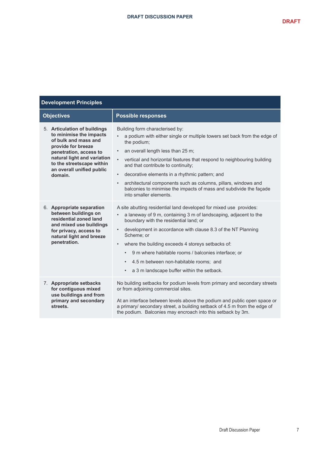| <b>Development Principles</b>                                                                                                                                                                                                       |                                                                                                                                                                                                                                                                                                                                                                                                                                                                                                                                                         |  |
|-------------------------------------------------------------------------------------------------------------------------------------------------------------------------------------------------------------------------------------|---------------------------------------------------------------------------------------------------------------------------------------------------------------------------------------------------------------------------------------------------------------------------------------------------------------------------------------------------------------------------------------------------------------------------------------------------------------------------------------------------------------------------------------------------------|--|
| <b>Objectives</b>                                                                                                                                                                                                                   | <b>Possible responses</b>                                                                                                                                                                                                                                                                                                                                                                                                                                                                                                                               |  |
| 5. Articulation of buildings<br>to minimise the impacts<br>of bulk and mass and<br>provide for breeze<br>penetration, access to<br>natural light and variation<br>to the streetscape within<br>an overall unified public<br>domain. | Building form characterised by:<br>a podium with either single or multiple towers set back from the edge of<br>the podium;<br>an overall length less than 25 m;<br>$\bullet$<br>$\bullet$<br>vertical and horizontal features that respond to neighbouring building<br>and that contribute to continuity;<br>decorative elements in a rhythmic pattern; and<br>$\bullet$<br>architectural components such as columns, pillars, windows and<br>$\bullet$<br>balconies to minimise the impacts of mass and subdivide the façade<br>into smaller elements. |  |
| 6. Appropriate separation<br>between buildings on<br>residential zoned land<br>and mixed use buildings<br>for privacy, access to<br>natural light and breeze<br>penetration.                                                        | A site abutting residential land developed for mixed use provides:<br>a laneway of 9 m, containing 3 m of landscaping, adjacent to the<br>$\bullet$<br>boundary with the residential land; or<br>development in accordance with clause 8.3 of the NT Planning<br>$\bullet$<br>Scheme; or<br>where the building exceeds 4 storeys setbacks of:<br>$\bullet$<br>9 m where habitable rooms / balconies interface; or<br>$\bullet$<br>4.5 m between non-habitable rooms; and<br>٠<br>a 3 m landscape buffer within the setback.<br>$\bullet$                |  |
| 7. Appropriate setbacks<br>for contiguous mixed<br>use buildings and from<br>primary and secondary<br>streets.                                                                                                                      | No building setbacks for podium levels from primary and secondary streets<br>or from adjoining commercial sites.<br>At an interface between levels above the podium and public open space or<br>a primary/ secondary street, a building setback of 4.5 m from the edge of<br>the podium. Balconies may encroach into this setback by 3m.                                                                                                                                                                                                                |  |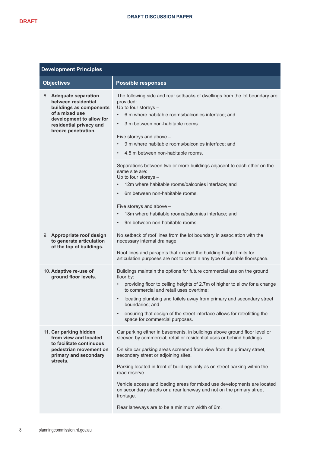| <b>Development Principles</b>                                                                                                                                            |                                                                                                                                                                                                                                                                                                                                                                                                                                                                                                                                                                                       |  |
|--------------------------------------------------------------------------------------------------------------------------------------------------------------------------|---------------------------------------------------------------------------------------------------------------------------------------------------------------------------------------------------------------------------------------------------------------------------------------------------------------------------------------------------------------------------------------------------------------------------------------------------------------------------------------------------------------------------------------------------------------------------------------|--|
| <b>Objectives</b>                                                                                                                                                        | <b>Possible responses</b>                                                                                                                                                                                                                                                                                                                                                                                                                                                                                                                                                             |  |
| 8. Adequate separation<br>between residential<br>buildings as components<br>of a mixed use<br>development to allow for<br>residential privacy and<br>breeze penetration. | The following side and rear setbacks of dwellings from the lot boundary are<br>provided:<br>Up to four storeys -<br>6 m where habitable rooms/balconies interface; and<br>3 m between non-habitable rooms.<br>$\bullet$<br>Five storeys and above -<br>9 m where habitable rooms/balconies interface; and<br>4.5 m between non-habitable rooms.<br>$\bullet$                                                                                                                                                                                                                          |  |
|                                                                                                                                                                          | Separations between two or more buildings adjacent to each other on the<br>same site are:<br>Up to four storeys -<br>12m where habitable rooms/balconies interface; and<br>6m between non-habitable rooms.<br>$\bullet$<br>Five storeys and above -<br>18m where habitable rooms/balconies interface; and<br>$\bullet$<br>9m between non-habitable rooms.<br>$\bullet$                                                                                                                                                                                                                |  |
| 9. Appropriate roof design<br>to generate articulation<br>of the top of buildings.                                                                                       | No setback of roof lines from the lot boundary in association with the<br>necessary internal drainage.<br>Roof lines and parapets that exceed the building height limits for<br>articulation purposes are not to contain any type of useable floorspace.                                                                                                                                                                                                                                                                                                                              |  |
| 10. Adaptive re-use of<br>ground floor levels.                                                                                                                           | Buildings maintain the options for future commercial use on the ground<br>floor by:<br>providing floor to ceiling heights of 2.7m of higher to allow for a change<br>$\bullet$<br>to commercial and retail uses overtime;<br>locating plumbing and toilets away from primary and secondary street<br>$\bullet$<br>boundaries; and<br>ensuring that design of the street interface allows for retrofitting the<br>$\bullet$<br>space for commercial purposes.                                                                                                                          |  |
| 11. Car parking hidden<br>from view and located<br>to facilitate continuous<br>pedestrian movement on<br>primary and secondary<br>streets.                               | Car parking either in basements, in buildings above ground floor level or<br>sleeved by commercial, retail or residential uses or behind buildings.<br>On site car parking areas screened from view from the primary street,<br>secondary street or adjoining sites.<br>Parking located in front of buildings only as on street parking within the<br>road reserve.<br>Vehicle access and loading areas for mixed use developments are located<br>on secondary streets or a rear laneway and not on the primary street<br>frontage.<br>Rear laneways are to be a minimum width of 6m. |  |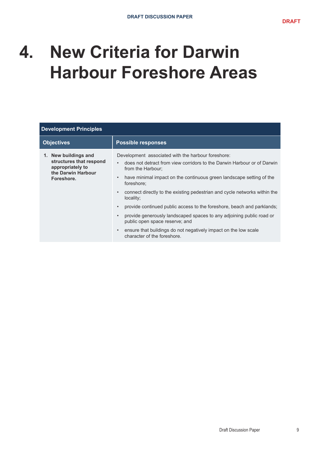#### **4. New Criteria for Darwin Harbour Foreshore Areas**

| <b>Development Principles</b>                                                                           |                                                                                                                                                                                                                                                                                                                                                                                                                                                                                                                                                                                                                                                                                           |  |  |  |
|---------------------------------------------------------------------------------------------------------|-------------------------------------------------------------------------------------------------------------------------------------------------------------------------------------------------------------------------------------------------------------------------------------------------------------------------------------------------------------------------------------------------------------------------------------------------------------------------------------------------------------------------------------------------------------------------------------------------------------------------------------------------------------------------------------------|--|--|--|
| <b>Objectives</b>                                                                                       | <b>Possible responses</b>                                                                                                                                                                                                                                                                                                                                                                                                                                                                                                                                                                                                                                                                 |  |  |  |
| 1. New buildings and<br>structures that respond<br>appropriately to<br>the Darwin Harbour<br>Foreshore. | Development associated with the harbour foreshore:<br>does not detract from view corridors to the Darwin Harbour or of Darwin<br>$\bullet$<br>from the Harbour;<br>have minimal impact on the continuous green landscape setting of the<br>$\bullet$<br>foreshore:<br>connect directly to the existing pedestrian and cycle networks within the<br>$\bullet$<br>locality;<br>provide continued public access to the foreshore, beach and parklands;<br>$\bullet$<br>provide generously landscaped spaces to any adjoining public road or<br>public open space reserve; and<br>ensure that buildings do not negatively impact on the low scale<br>$\bullet$<br>character of the foreshore. |  |  |  |